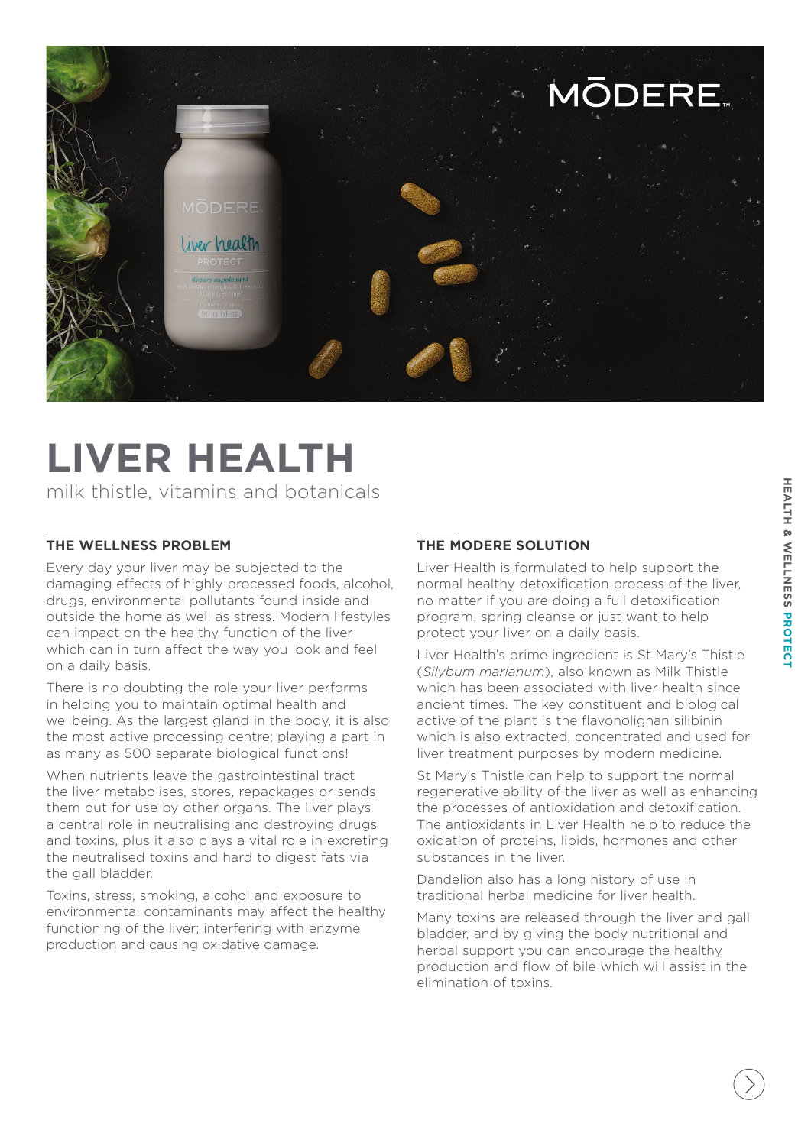

## **LIVER HEALTH**

milk thistle, vitamins and botanicals

#### **THE WELLNESS PROBLEM**

Every day your liver may be subjected to the damaging effects of highly processed foods, alcohol, drugs, environmental pollutants found inside and outside the home as well as stress. Modern lifestyles can impact on the healthy function of the liver which can in turn affect the way you look and feel on a daily basis.

There is no doubting the role your liver performs in helping you to maintain optimal health and wellbeing. As the largest gland in the body, it is also the most active processing centre; playing a part in as many as 500 separate biological functions!

When nutrients leave the gastrointestinal tract the liver metabolises, stores, repackages or sends them out for use by other organs. The liver plays a central role in neutralising and destroying drugs and toxins, plus it also plays a vital role in excreting the neutralised toxins and hard to digest fats via the gall bladder.

Toxins, stress, smoking, alcohol and exposure to environmental contaminants may affect the healthy functioning of the liver; interfering with enzyme production and causing oxidative damage.

#### **THE MODERE SOLUTION**

Liver Health is formulated to help support the normal healthy detoxification process of the liver, no matter if you are doing a full detoxification program, spring cleanse or just want to help protect your liver on a daily basis.

Liver Health's prime ingredient is St Mary's Thistle (*Silybum marianum*), also known as Milk Thistle which has been associated with liver health since ancient times. The key constituent and biological active of the plant is the flavonolignan silibinin which is also extracted, concentrated and used for liver treatment purposes by modern medicine.

St Mary's Thistle can help to support the normal regenerative ability of the liver as well as enhancing the processes of antioxidation and detoxification. The antioxidants in Liver Health help to reduce the oxidation of proteins, lipids, hormones and other substances in the liver.

Dandelion also has a long history of use in traditional herbal medicine for liver health.

Many toxins are released through the liver and gall bladder, and by giving the body nutritional and herbal support you can encourage the healthy production and flow of bile which will assist in the elimination of toxins.